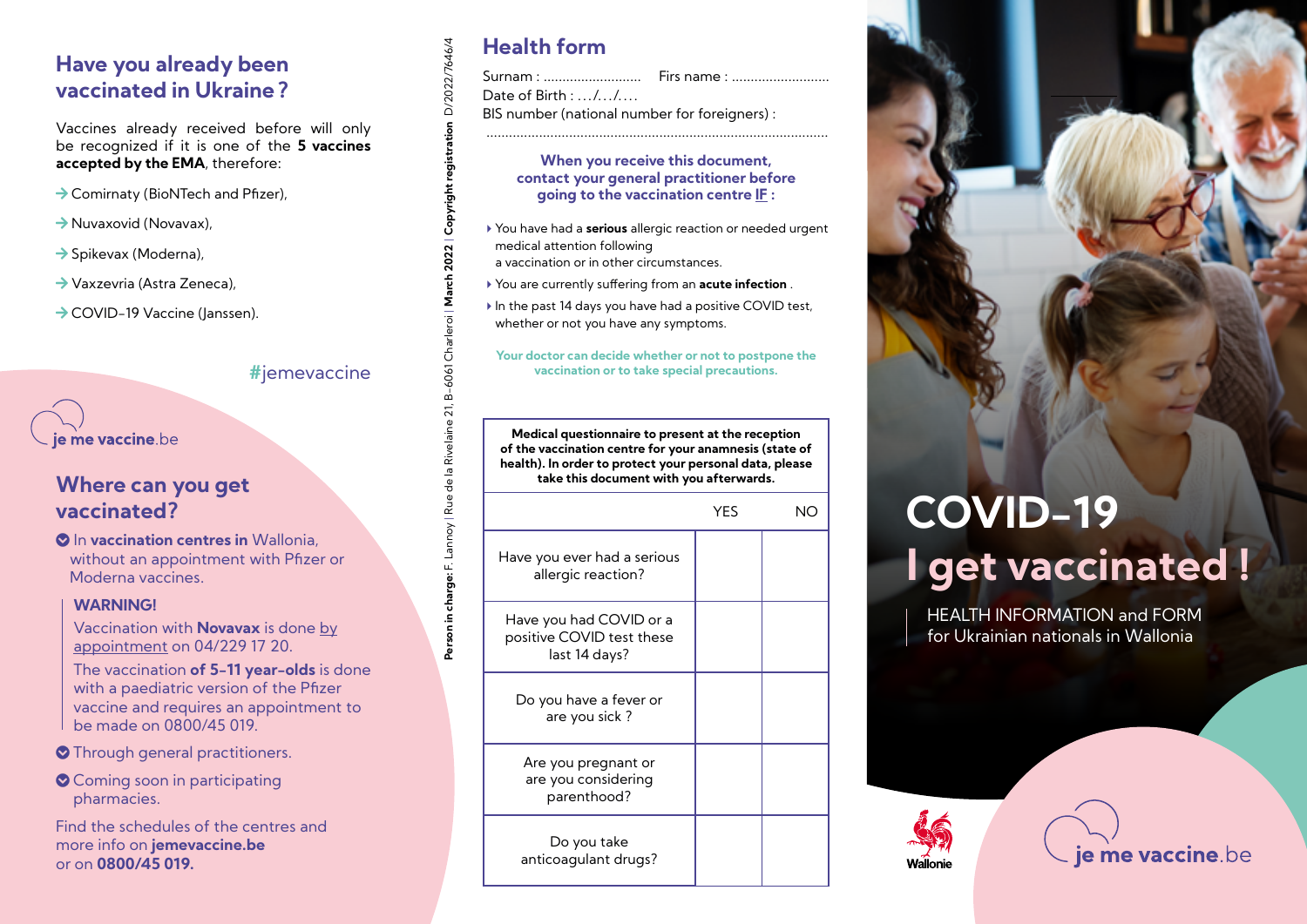## **Have you already been vaccinated in Ukraine?**

Vaccines already received before will only be recognized if it is one of the **5 vaccines accepted by the EMA**, therefore:

- $\rightarrow$  Comirnaty (BioNTech and Pfizer),
- $\rightarrow$  Nuvaxovid (Novavax),
- $\rightarrow$  Spikevax (Moderna),
- $\rightarrow$  Vaxzevria (Astra Zeneca),
- $\rightarrow$  COVID-19 Vaccine (Janssen).

### **#**jemevaccine

**Person in charge:** F. Lannoy | Rue de la Rivelaine 21, B-6061 Charleroi | **March 2022** | **Copyright registration** D/2022/7646/4

Person in charge: F. Lannoy | Rue de la Rivelaine 21, B-6061 Charleroi | **March 2022 | Copyright registration** D/2022/7646/4

## ie me vaccine be

## **Where can you get vaccinated?**

**O** In vaccination centres in Wallonia, without an appointment with Pfizer or Moderna vaccines.

### **WARNING!**

Vaccination with **Novavax** is done by appointment on 04/229 17 20.

The vaccination **of 5-11 year-olds** is done with a paediatric version of the Pfizer vaccine and requires an appointment to be made on 0800/45 019.

### **O** Through general practitioners.

Coming soon in participating pharmacies.

Find the schedules of the centres and more info on **jemevaccine.be** or on **0800/45 019.**

## **Health form**

Surnam : .......................... Firs name : ..........................

Date of Birth : .../.../....

BIS number (national number for foreigners) :

### **When you receive this document, contact your general practitioner before going to the vaccination centre IF :**

- 4You have had a **serious** allergic reaction or needed urgent medical attention following
- a vaccination or in other circumstances.
- 4You are currently suffering from an **acute infection** .
- In the past 14 days you have had a positive COVID test, whether or not you have any symptoms.

#### **Your doctor can decide whether or not to postpone the vaccination or to take special precautions.**

**Medical questionnaire to present at the reception of the vaccination centre for your anamnesis (state of health). In order to protect your personal data, please take this document with you afterwards.**

|                                                                       | YES |  |
|-----------------------------------------------------------------------|-----|--|
| Have you ever had a serious<br>allergic reaction?                     |     |  |
| Have you had COVID or a<br>positive COVID test these<br>last 14 days? |     |  |
| Do you have a fever or<br>are you sick?                               |     |  |
| Are you pregnant or<br>are you considering<br>parenthood?             |     |  |
| Do you take<br>anticoagulant drugs?                                   |     |  |



# **COVID-19 I get vaccinated !**

HEALTH INFORMATION and FORM for Ukrainian nationals in Wallonia

je me vaccine.be